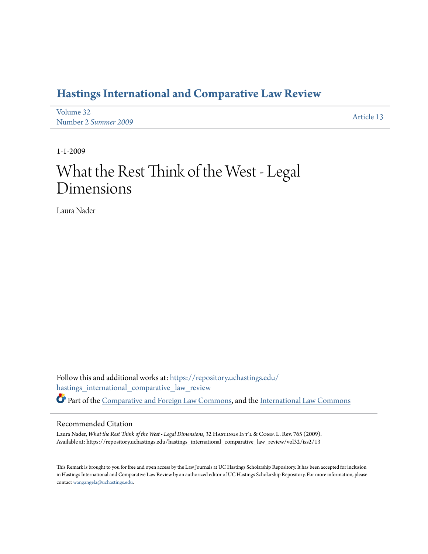# **[Hastings International and Comparative Law Review](https://repository.uchastings.edu/hastings_international_comparative_law_review?utm_source=repository.uchastings.edu%2Fhastings_international_comparative_law_review%2Fvol32%2Fiss2%2F13&utm_medium=PDF&utm_campaign=PDFCoverPages)**

| Volume 32            | Article 13 |
|----------------------|------------|
| Number 2 Summer 2009 |            |

1-1-2009

# What the Rest Think of the West - Legal Dimensions

Laura Nader

Follow this and additional works at: [https://repository.uchastings.edu/](https://repository.uchastings.edu/hastings_international_comparative_law_review?utm_source=repository.uchastings.edu%2Fhastings_international_comparative_law_review%2Fvol32%2Fiss2%2F13&utm_medium=PDF&utm_campaign=PDFCoverPages) [hastings\\_international\\_comparative\\_law\\_review](https://repository.uchastings.edu/hastings_international_comparative_law_review?utm_source=repository.uchastings.edu%2Fhastings_international_comparative_law_review%2Fvol32%2Fiss2%2F13&utm_medium=PDF&utm_campaign=PDFCoverPages) Part of the [Comparative and Foreign Law Commons](http://network.bepress.com/hgg/discipline/836?utm_source=repository.uchastings.edu%2Fhastings_international_comparative_law_review%2Fvol32%2Fiss2%2F13&utm_medium=PDF&utm_campaign=PDFCoverPages), and the [International Law Commons](http://network.bepress.com/hgg/discipline/609?utm_source=repository.uchastings.edu%2Fhastings_international_comparative_law_review%2Fvol32%2Fiss2%2F13&utm_medium=PDF&utm_campaign=PDFCoverPages)

#### Recommended Citation

Laura Nader, *What the Rest Think of the West - Legal Dimensions*, 32 HastingsInt'l & Comp. L. Rev. 765 (2009). Available at: https://repository.uchastings.edu/hastings\_international\_comparative\_law\_review/vol32/iss2/13

This Remark is brought to you for free and open access by the Law Journals at UC Hastings Scholarship Repository. It has been accepted for inclusion in Hastings International and Comparative Law Review by an authorized editor of UC Hastings Scholarship Repository. For more information, please contact [wangangela@uchastings.edu](mailto:wangangela@uchastings.edu).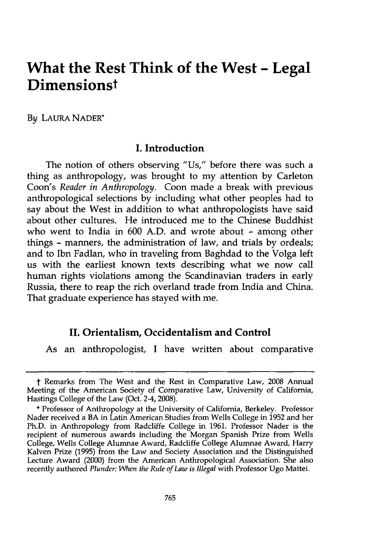# **What the Rest Think of the West - Legal Dimensionst**

**By** LAURA **NADER'**

#### **I. Introduction**

The notion of others observing "Us," before there was such a thing as anthropology, was brought to my attention by Carleton Coon's *Reader in Anthropology.* Coon made a break with previous anthropological selections by including what other peoples had to say about the West in addition to what anthropologists have said about other cultures. He introduced me to the Chinese Buddhist who went to India in 600 A.D. and wrote about **-** among other things - manners, the administration of law, and trials by ordeals; and to Ibn Fadlan, who in traveling from Baghdad to the Volga left us with the earliest known texts describing what we now call human rights violations among the Scandinavian traders in early Russia, there to reap the rich overland trade from India and China. That graduate experience has stayed with me.

#### **II. Orientalism, Occidentalism and Control**

As an anthropologist, I have written about comparative

t Remarks from The West and the Rest in Comparative Law, 2008 Annual Meeting of the American Society of Comparative Law, University of California, Hastings College of the Law (Oct. 2-4, 2008).

<sup>\*</sup> Professor of Anthropology at the University of California, Berkeley. Professor Nader received a BA in Latin American Studies from Wells College in 1952 and her Ph.D. in Anthropology from Radcliffe College in 1961. Professor Nader is the recipient of numerous awards including the Morgan Spanish Prize from Wells College, Wells College Alumnae Award, Radcliffe College Alumnae Award, Harry Kalven Prize (1995) from the Law and Society Association and the Distinguished Lecture Award (2000) from the American Anthropological Association. She also recently authored *Plunder: When the Rule of Law is Illegal* with Professor Ugo Mattei.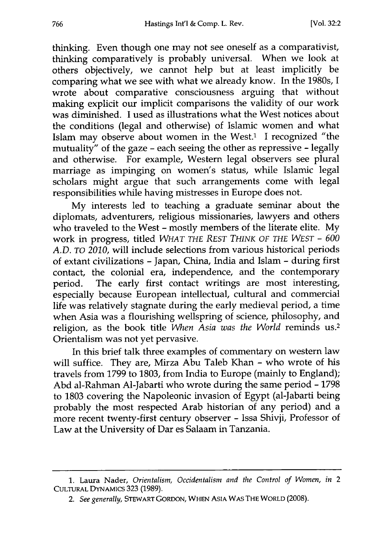thinking. Even though one may not see oneself as a comparativist, thinking comparatively is probably universal. When we look at others objectively, we cannot help but at least implicitly be comparing what we see with what we already know. In the 1980s, I wrote about comparative consciousness arguing that without making explicit our implicit comparisons the validity of our work was diminished. I used as illustrations what the West notices about the conditions (legal and otherwise) of Islamic women and what Islam may observe about women in the West.' I recognized "the mutuality" of the gaze - each seeing the other as repressive - legally and otherwise. For example, Western legal observers see plural marriage as impinging on women's status, while Islamic legal scholars might argue that such arrangements come with legal responsibilities while having mistresses in Europe does not.

My interests led to teaching a graduate seminar about the diplomats, adventurers, religious missionaries, lawyers and others who traveled to the West - mostly members of the literate elite. My work in progress, titled *WHAT THE REST THINK OF THE WEST* - *600 A.D. TO 2010,* will include selections from various historical periods of extant civilizations - Japan, China, India and Islam - during first contact, the colonial era, independence, and the contemporary period. The early first contact writings are most interesting, especially because European intellectual, cultural and commercia life was relatively stagnate during the early medieval period, a time when Asia was a flourishing wellspring of science, philosophy, and religion, as the book title *When Asia was the World* reminds us. <sup>2</sup> Orientalism was not yet pervasive.

In this brief talk three examples of commentary on western law will suffice. They are, Mirza Abu Taleb Khan - who wrote of his travels from 1799 to 1803, from India to Europe (mainly to England); Abd al-Rahman Al-Jabarti who wrote during the same period - 1798 to 1803 covering the Napoleonic invasion of Egypt (al-Jabarti being probably the most respected Arab historian of any period) and a more recent twenty-first century observer - Issa Shivji, Professor of Law at the University of Dar es Salaam in Tanzania.

**<sup>1.</sup>** Laura Nader, *Orientalism, Occidentalism and the Control of Women, in* 2 CULTURAL DYNAMICS 323 (1989).

*<sup>2.</sup> See generally,* STEWART GORDON, WHEN ASIA WAS THE WORLD (2008).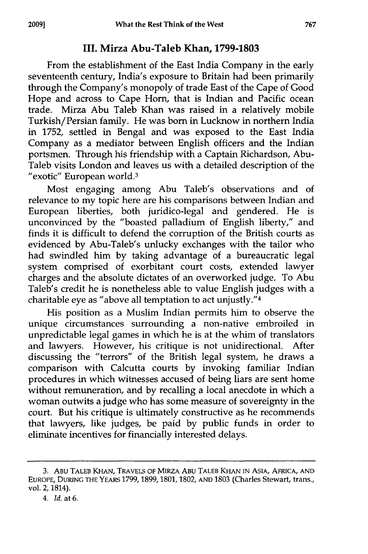## **III. Mirza Abu-Taleb Khan, 1799-1803**

From the establishment of the East India Company in the early seventeenth century, India's exposure to Britain had been primarily through the Company's monopoly of trade East of the Cape of Good Hope and across to Cape Horn, that is Indian and Pacific ocean trade. Mirza Abu Taleb Khan was raised in a relatively mobile Turkish/Persian family. He was born in Lucknow in northern India in 1752, settled in Bengal and was exposed to the East India Company as a mediator between English officers and the Indian portsmen. Through his friendship with a Captain Richardson, Abu-Taleb visits London and leaves us with a detailed description of the "exotic" European world.3

Most engaging among Abu Taleb's observations and of relevance to my topic here are his comparisons between Indian and European liberties, both juridico-legal and gendered. He is unconvinced by the "boasted palladium of English liberty," and finds it is difficult to defend the corruption of the British courts as evidenced by Abu-Taleb's unlucky exchanges with the tailor who had swindled him by taking advantage of a bureaucratic legal system comprised of exorbitant court costs, extended lawyer charges and the absolute dictates of an overworked judge. To Abu Taleb's credit he is nonetheless able to value English judges with a charitable eye as "above all temptation to act unjustly."4

His position as a Muslim Indian permits him to observe the unique circumstances surrounding a non-native embroiled in unpredictable legal games in which he is at the whim of translators and lawyers. However, his critique is not unidirectional. After discussing the "terrors" of the British legal system, he draws a comparison with Calcutta courts by invoking familiar Indian procedures in which witnesses accused of being liars are sent home without remuneration, and by recalling a local anecdote in which a woman outwits a judge who has some measure of sovereignty in the court. But his critique is ultimately constructive as he recommends that lawyers, like judges, be paid by public funds in order to eliminate incentives for financially interested delays.

<sup>3.</sup> ABU TALEB **KHAN,** TRAvELs OF MIRZA ABU TALEB KHAN IN ASIA, AFRICA, **AND EUROPE, DURING THE** YEARS **1799, 1899, 1801, 1802, AND 1803** (Charles Stewart, trans., vol. 2, 1814).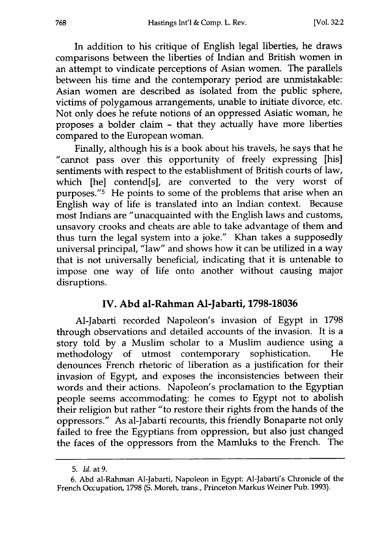In addition to his critique of English legal liberties, he draws comparisons between the liberties of Indian and British women in an attempt to vindicate perceptions of Asian women. The parallels between his time and the contemporary period are unmistakable: Asian women are described as isolated from the public sphere, victims of polygamous arrangements, unable to initiate divorce, etc. Not only does he refute notions of an oppressed Asiatic woman, he proposes a bolder claim **-** that they actually have more liberties compared to the European woman.

Finally, although his is a book about his travels, he says that he "cannot pass over this opportunity of freely expressing [his] sentiments with respect to the establishment of British courts of law, which [he] contend[s], are converted to the very worst of purposes."<sup>5</sup> He points to some of the problems that arise when an English way of life is translated into an Indian context. Because most Indians are "unacquainted with the English laws and customs, unsavory crooks and cheats are able to take advantage of them and thus turn the legal system into a joke." Khan takes a supposedly universal principal, "law" and shows how it can be utilized in a way that is not universally beneficial, indicating that it is untenable to impose one way of life onto another without causing major disruptions.

## **IV. Abd al-Rahman A1-Jabarti, 1798-18036**

Al-Jabarti recorded Napoleon's invasion of Egypt in 1798 through observations and detailed accounts of the invasion. It is a story told by a Muslim scholar to a Muslim audience using a methodology of utmost contemporary sophistication. He denounces French rhetoric of liberation as a justification for their invasion of Egypt, and exposes the inconsistencies between their words and their actions. Napoleon's proclamation to the Egyptian people seems accommodating: he comes to Egypt not to abolish their religion but rather "to restore their rights from the hands of the oppressors." As al-Jabarti recounts, this friendly Bonaparte not only failed to free the Egyptians from oppression, but also just changed the faces of the oppressors from the Mamluks to the French. The

<sup>5.</sup> *Id.* at 9.

<sup>6.</sup> Abd al-Rahnan Al-Jabarti, Napoleon in Egypt: Al-Jabarti's Chronicle of the French Occupation, 1798 (S. Moreh, trans., Princeton Markus Weiner Pub. 1993).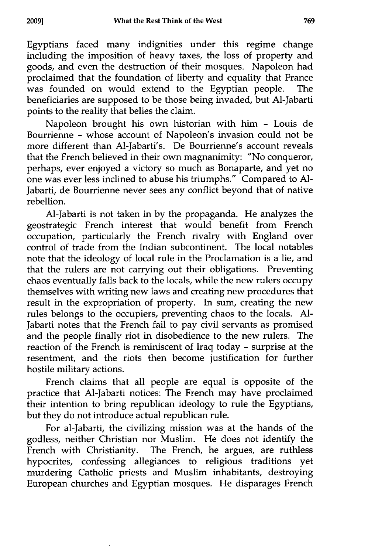Egyptians faced many indignities under this regime change including the imposition of heavy taxes, the loss of property and goods, and even the destruction of their mosques. Napoleon had proclaimed that the foundation of liberty and equality that France was founded on would extend to the Egyptian people. The beneficiaries are supposed to be those being invaded, but Al-Jabarti points to the reality that belies the claim.

Napoleon brought his own historian with him - Louis de Bourrienne - whose account of Napoleon's invasion could not be more different than Al-Jabarti's. De Bourrienne's account reveals that the French believed in their own magnanimity: "No conqueror, perhaps, ever enjoyed a victory so much as Bonaparte, and yet no one was ever less inclined to abuse his triumphs." Compared to **Al-**Jabarti, de Bourrienne never sees any conflict beyond that of native rebellion.

Al-Jabarti is not taken in by the propaganda. He analyzes the geostrategic French interest that would benefit from French occupation, particularly the French rivalry with England over control of trade from the Indian subcontinent. The local notables note that the ideology of local rule in the Proclamation is a lie, and that the rulers are not carrying out their obligations. Preventing chaos eventually falls back to the locals, while the new rulers occupy themselves with writing new laws and creating new procedures that result in the expropriation of property. In sum, creating the new rules belongs to the occupiers, preventing chaos to the locals. **Al-**Jabarti notes that the French fail to pay civil servants as promised and the people finally riot in disobedience to the new rulers. The reaction of the French is reminiscent of Iraq today - surprise at the resentment, and the riots then become justification for further hostile military actions.

French claims that all people are equal is opposite of the practice that Al-Jabarti notices: The French may have proclaimed their intention to bring republican ideology to rule the Egyptians, but they do not introduce actual republican rule.

For al-Jabarti, the civilizing mission was at the hands of the godless, neither Christian nor Muslim. He does not identify the French with Christianity. The French, he argues, are ruthless hypocrites, confessing allegiances to religious traditions yet murdering Catholic priests and Muslim inhabitants, destroying European churches and Egyptian mosques. He disparages French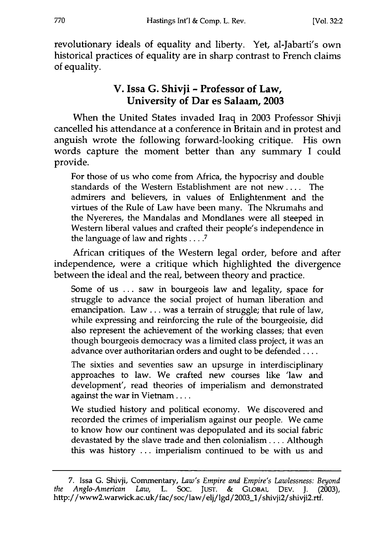revolutionary ideals of equality and liberty. Yet, al-Jabarti's own historical practices of equality are in sharp contrast to French claims of equality.

## V. Issa **G.** Shivji **- Professor of Law,** University of **Dar es Salaam, 2003**

When the United States invaded Iraq in 2003 Professor Shivji cancelled his attendance at a conference in Britain and in protest and anguish wrote the following forward-looking critique. His own words capture the moment better than any summary I could provide.

For those of us who come from Africa, the hypocrisy and double standards of the Western Establishment are not new .... The admirers and believers, in values of Enlightenment and the virtues of the Rule of Law have been many. The Nkrumahs and the Nyereres, the Mandalas and Mondlanes were all steeped in Western liberal values and crafted their people's independence in the language of law and rights .... 7

African critiques of the Western legal order, before and after independence, were a critique which highlighted the divergence between the ideal and the real, between theory and practice.

Some of us ... saw in bourgeois law and legality, space for struggle to advance the social project of human liberation and emancipation. Law ... was a terrain of struggle; that rule of law, while expressing and reinforcing the rule of the bourgeoisie, did also represent the achievement of the working classes; that even though bourgeois democracy was a limited class project, it was an advance over authoritarian orders and ought to be defended ....

The sixties and seventies saw an upsurge in interdisciplinary approaches to law. We crafted new courses like 'law and development', read theories of imperialism and demonstrated against the war in Vietnam ....

We studied history and political economy. We discovered and recorded the crimes of imperialism against our people. We came to know how our continent was depopulated and its social fabric devastated by the slave trade and then colonialism .... Although this was history ... imperialism continued to be with us and

<sup>7.</sup> Issa G. Shivji, Commentary, *Law's Empire and Empire's Lawlessness: Beyond the Anglo-American Law,* L. Soc. JusT. & GLOBAL DEv. J. (2003), http://www2.warwick.ac.uk/fac/soc/law/elj/lgd/2003\_1/shivji2/shivji2.rtf.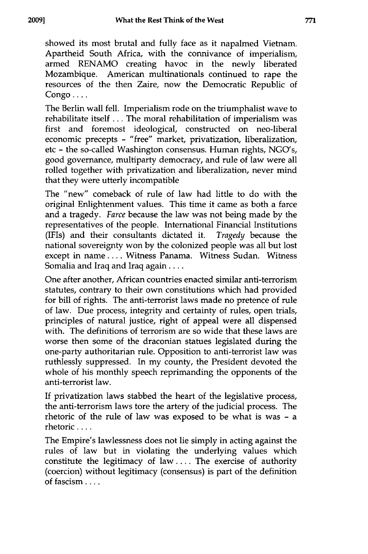showed its most brutal and fully face as it napalmed Vietnam. Apartheid South Africa, with the connivance of imperialism, armed RENAMO creating havoc in the newly liberated Mozambique. American multinationals continued to rape the resources of the then Zaire, now the Democratic Republic of Congo ....

The Berlin wall fell. Imperialism rode on the triumphalist wave to rehabilitate itself ... The moral rehabilitation of imperialism was first and foremost ideological, constructed on neo-liberal economic precepts **-** "free" market, privatization, liberalization, etc - the so-called Washington consensus. Human rights, NGO's, good governance, multiparty democracy, and rule of law were all rolled together with privatization and liberalization, never mind that they were utterly incompatible

The "new" comeback of rule of law had little to do with the original Enlightenment values. This time it came as both a farce and a tragedy. *Farce* because the law was not being made by the representatives of the people. International Financial Institutions (IFIs) and their consultants dictated it. *Tragedy* because the national sovereignty won by the colonized people was all but lost except in name .... Witness Panama. Witness Sudan. Witness Somalia and Iraq and Iraq again ....

One after another, African countries enacted similar anti-terrorism statutes, contrary to their own constitutions which had provided for bill of rights. The anti-terrorist laws made no pretence of rule of law. Due process, integrity and certainty of rules, open trials, principles of natural justice, right of appeal were all dispensed with. The definitions of terrorism are so wide that these laws are worse then some of the draconian statues legislated during the one-party authoritarian rule. Opposition to anti-terrorist law was ruthlessly suppressed. In my county, the President devoted the whole of his monthly speech reprimanding the opponents of the anti-terrorist law.

If privatization laws stabbed the heart of the legislative process, the anti-terrorism laws tore the artery of the judicial process. The rhetoric of the rule of law was exposed to be what is was - a rhetoric ....

The Empire's lawlessness does not lie simply in acting against the rules of law but in violating the underlying values which constitute the legitimacy of law .... The exercise of authority (coercion) without legitimacy (consensus) is part of the definition of fascism **....**